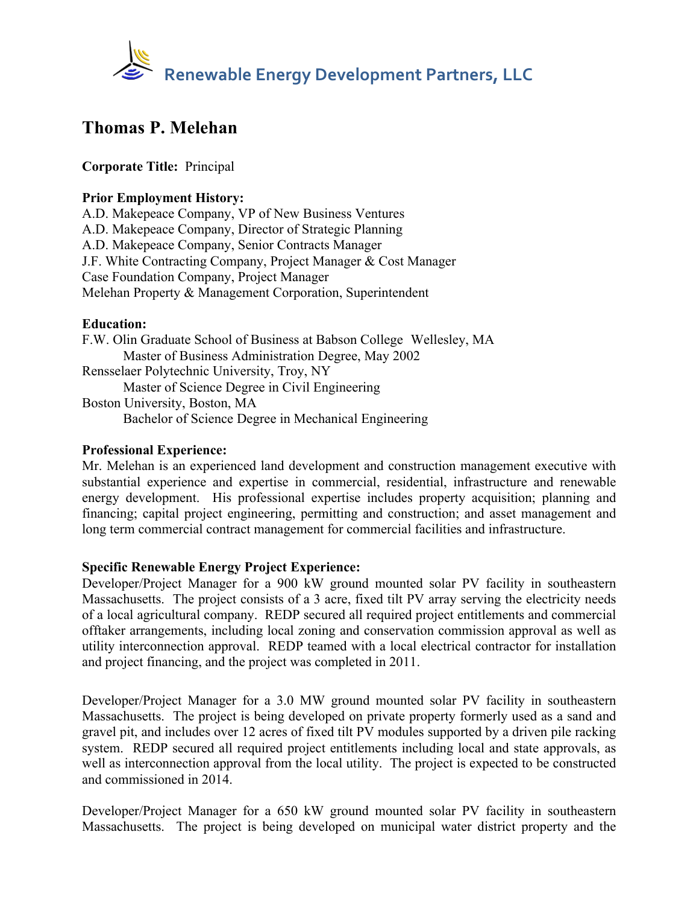

# **Thomas P. Melehan**

## **Corporate Title:** Principal

## **Prior Employment History:**

A.D. Makepeace Company, VP of New Business Ventures A.D. Makepeace Company, Director of Strategic Planning A.D. Makepeace Company, Senior Contracts Manager J.F. White Contracting Company, Project Manager & Cost Manager Case Foundation Company, Project Manager Melehan Property & Management Corporation, Superintendent

### **Education:**

F.W. Olin Graduate School of Business at Babson College Wellesley, MA Master of Business Administration Degree, May 2002 Rensselaer Polytechnic University, Troy, NY Master of Science Degree in Civil Engineering Boston University, Boston, MA Bachelor of Science Degree in Mechanical Engineering

#### **Professional Experience:**

Mr. Melehan is an experienced land development and construction management executive with substantial experience and expertise in commercial, residential, infrastructure and renewable energy development. His professional expertise includes property acquisition; planning and financing; capital project engineering, permitting and construction; and asset management and long term commercial contract management for commercial facilities and infrastructure.

### **Specific Renewable Energy Project Experience:**

Developer/Project Manager for a 900 kW ground mounted solar PV facility in southeastern Massachusetts. The project consists of a 3 acre, fixed tilt PV array serving the electricity needs of a local agricultural company. REDP secured all required project entitlements and commercial offtaker arrangements, including local zoning and conservation commission approval as well as utility interconnection approval. REDP teamed with a local electrical contractor for installation and project financing, and the project was completed in 2011.

Developer/Project Manager for a 3.0 MW ground mounted solar PV facility in southeastern Massachusetts. The project is being developed on private property formerly used as a sand and gravel pit, and includes over 12 acres of fixed tilt PV modules supported by a driven pile racking system. REDP secured all required project entitlements including local and state approvals, as well as interconnection approval from the local utility. The project is expected to be constructed and commissioned in 2014.

Developer/Project Manager for a 650 kW ground mounted solar PV facility in southeastern Massachusetts. The project is being developed on municipal water district property and the